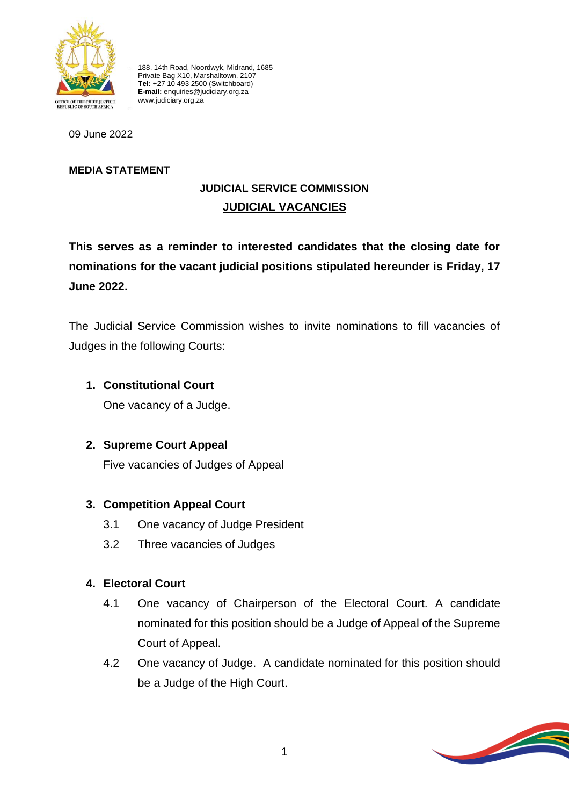

188, 14th Road, Noordwyk, Midrand, 1685 Private Bag X10, Marshalltown, 2107 **Tel:** +27 10 493 2500 (Switchboard) **E-mail:** enquiries@judiciary.org.za www.judiciary.org.za

09 June 2022

#### **MEDIA STATEMENT**

## **JUDICIAL SERVICE COMMISSION JUDICIAL VACANCIES**

**This serves as a reminder to interested candidates that the closing date for nominations for the vacant judicial positions stipulated hereunder is Friday, 17 June 2022.**

The Judicial Service Commission wishes to invite nominations to fill vacancies of Judges in the following Courts:

## **1. Constitutional Court**

One vacancy of a Judge.

**2. Supreme Court Appeal**

Five vacancies of Judges of Appeal

## **3. Competition Appeal Court**

- 3.1 One vacancy of Judge President
- 3.2 Three vacancies of Judges

## **4. Electoral Court**

- 4.1 One vacancy of Chairperson of the Electoral Court. A candidate nominated for this position should be a Judge of Appeal of the Supreme Court of Appeal.
- 4.2 One vacancy of Judge. A candidate nominated for this position should be a Judge of the High Court.

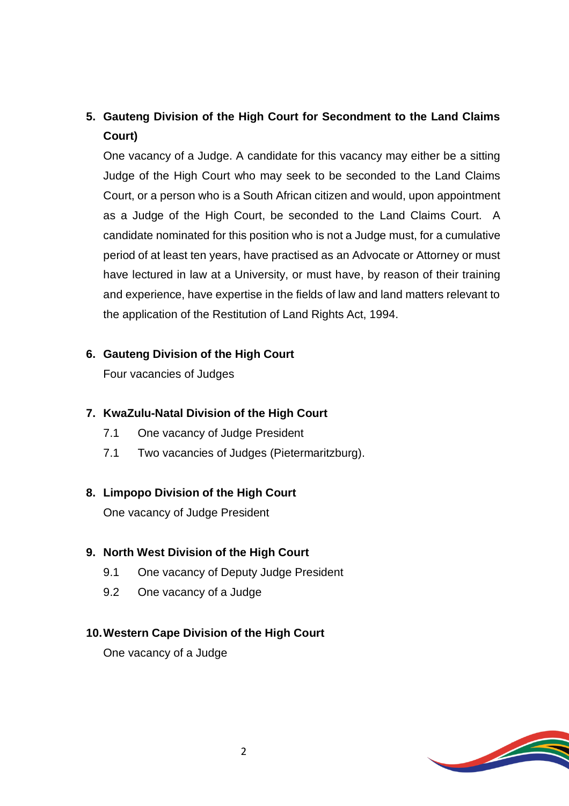# **5. Gauteng Division of the High Court for Secondment to the Land Claims Court)**

One vacancy of a Judge. A candidate for this vacancy may either be a sitting Judge of the High Court who may seek to be seconded to the Land Claims Court, or a person who is a South African citizen and would, upon appointment as a Judge of the High Court, be seconded to the Land Claims Court. A candidate nominated for this position who is not a Judge must, for a cumulative period of at least ten years, have practised as an Advocate or Attorney or must have lectured in law at a University, or must have, by reason of their training and experience, have expertise in the fields of law and land matters relevant to the application of the Restitution of Land Rights Act, 1994.

#### **6. Gauteng Division of the High Court**

Four vacancies of Judges

#### **7. KwaZulu-Natal Division of the High Court**

- 7.1 One vacancy of Judge President
- 7.1 Two vacancies of Judges (Pietermaritzburg).

#### **8. Limpopo Division of the High Court**

One vacancy of Judge President

#### **9. North West Division of the High Court**

- 9.1 One vacancy of Deputy Judge President
- 9.2 One vacancy of a Judge

#### **10.Western Cape Division of the High Court**

One vacancy of a Judge

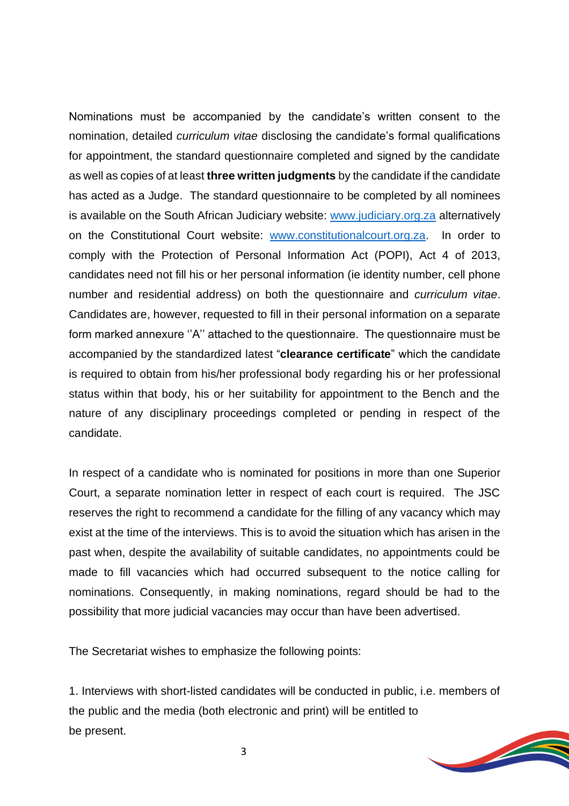Nominations must be accompanied by the candidate's written consent to the nomination, detailed *curriculum vitae* disclosing the candidate's formal qualifications for appointment, the standard questionnaire completed and signed by the candidate as well as copies of at least **three written judgments** by the candidate if the candidate has acted as a Judge. The standard questionnaire to be completed by all nominees is available on the South African Judiciary website: [www.judiciary.org.za](http://www.judiciary.org.za/) alternatively on the Constitutional Court website: [www.constitutionalcourt.org.za.](http://www.constitutionalcourt.org.za/) In order to comply with the Protection of Personal Information Act (POPI), Act 4 of 2013, candidates need not fill his or her personal information (ie identity number, cell phone number and residential address) on both the questionnaire and *curriculum vitae*. Candidates are, however, requested to fill in their personal information on a separate form marked annexure ''A'' attached to the questionnaire. The questionnaire must be accompanied by the standardized latest "**clearance certificate**" which the candidate is required to obtain from his/her professional body regarding his or her professional status within that body, his or her suitability for appointment to the Bench and the nature of any disciplinary proceedings completed or pending in respect of the candidate.

In respect of a candidate who is nominated for positions in more than one Superior Court, a separate nomination letter in respect of each court is required. The JSC reserves the right to recommend a candidate for the filling of any vacancy which may exist at the time of the interviews. This is to avoid the situation which has arisen in the past when, despite the availability of suitable candidates, no appointments could be made to fill vacancies which had occurred subsequent to the notice calling for nominations. Consequently, in making nominations, regard should be had to the possibility that more judicial vacancies may occur than have been advertised.

The Secretariat wishes to emphasize the following points:

1. Interviews with short-listed candidates will be conducted in public, i.e. members of the public and the media (both electronic and print) will be entitled to be present.